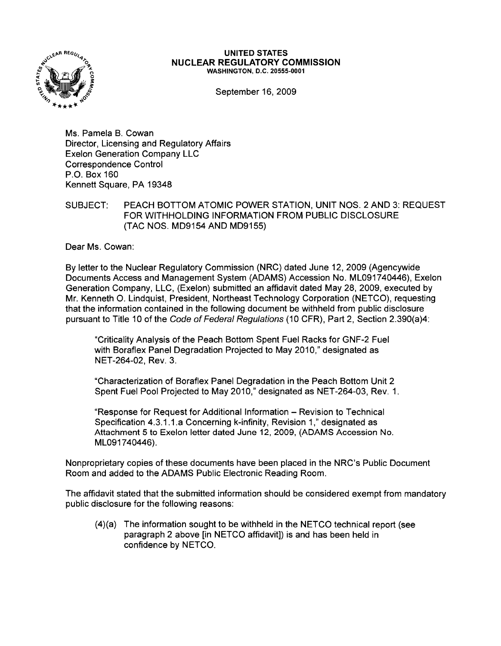

## **UNITED STATES NUCLEAR REGULATORY COMMISSION** WASHINGTON, D.C. 20555-0001

September 16, 2009

Ms. Pamela B. Cowan Director, Licensing and Regulatory Affairs Exelon Generation Company LLC Correspondence Control P.O. Box 160 Kennett Square, PA 19348

## SUBJECT: PEACH BOTTOM ATOMIC POWER STATION, UNIT NOS. 2 AND 3: REQUEST FOR WITHHOLDING INFORMATION FROM PUBLIC DISCLOSURE (TAC NOS. MD9154 AND MD9155)

Dear Ms. Cowan:

By letter to the Nuclear Regulatory Commission (NRC) dated June 12, 2009 (Agencywide Documents Access and Management System (ADAMS) Accession No. ML091740446), Exelon Generation Company, LLC, (Exelon) submitted an affidavit dated May 28,2009, executed by Mr. Kenneth O. Lindquist, President, Northeast Technology Corporation (NETCO), requesting that the information contained in the following document be withheld from public disclosure pursuant to Title 10 of the Code of Federal Regulations (10 CFR), Part 2, Section 2.390(a)4:

"Criticality Analysis of the Peach Bottom Spent Fuel Racks for GNF-2 Fuel with Boraflex Panel Degradation Projected to May 2010," designated as NET-264-02, Rev. 3.

"Characterization of Boraflex Panel Degradation in the Peach Bottom Unit 2 Spent Fuel Pool Projected to May 2010," designated as NET-264-03, Rev. 1.

"Response for Request for Additional Information - Revision to Technical Specification 4.3.1.1.a Concerning k-infinity, Revision 1," designated as Attachment 5 to Exelon letter dated June 12, 2009, (ADAMS Accession No. ML091740446).

Nonproprietary copies of these documents have been placed in the NRC's Public Document Room and added to the ADAMS Public Electronic Reading Room.

The affidavit stated that the submitted information should be considered exempt from mandatory public disclosure for the following reasons:

 $(4)(a)$  The information sought to be withheld in the NETCO technical report (see paragraph 2 above [in NETCO affidavit]) is and has been held in confidence by NETCO.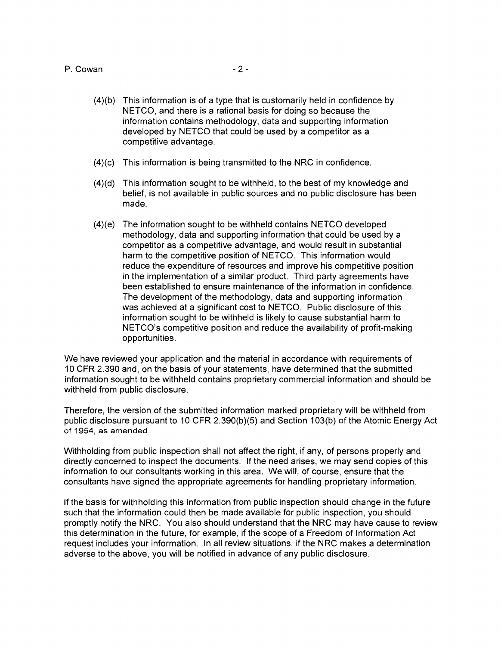## P. Cowan - 2

- $(4)(b)$  This information is of a type that is customarily held in confidence by NETCO, and there is a rational basis for doing so because the information contains methodology, data and supporting information developed by NETCO that could be used by a competitor as a competitive advantage.
- $(4)(c)$  This information is being transmitted to the NRC in confidence.
- $(4)(d)$  This information sought to be withheld, to the best of my knowledge and belief, is not available in public sources and no public disclosure has been made.
- (4)(e) The information sought to be withheld contains NETCO developed methodology, data and supporting information that could be used by a competitor as a competitive advantage, and would result in substantial harm to the competitive position of NETCO. This information would reduce the expenditure of resources and improve his competitive position in the implementation of a similar product. Third party agreements have been established to ensure maintenance of the information in confidence. The development of the methodology, data and supporting information was achieved at a significant cost to NETCO. Public disclosure of this information sought to be withheld is likely to cause substantial harm to NETCO's competitive position and reduce the availability of profit-making opportunities.

We have reviewed your application and the material in accordance with requirements of 10 CFR 2.390 and, on the basis of your statements, have determined that the submitted information sought to be withheld contains proprietary commercial information and should be withheld from public disclosure.

Therefore, the version of the submitted information marked proprietary will be withheld from public disclosure pursuant to 10 CFR 2.390(b)(5) and Section 103(b) of the Atomic Energy Act of 1954, as amended.

Withholding from public inspection shall not affect the right, if any, of persons properly and directly concerned to inspect the documents. If the need arises, we may send copies of this information to our consultants working in this area. We will, of course, ensure that the consultants have signed the appropriate agreements for handling proprietary information.

If the basis for withholding this information from public inspection should change in the future such that the information could then be made available for public inspection, you should promptly notify the NRC. You also should understand that the NRC may have cause to review this determination in the future, for example, if the scope of a Freedom of Information Act request includes your information. In all review situations, if the NRC makes a determination adverse to the above, you will be notified in advance of any public disclosure.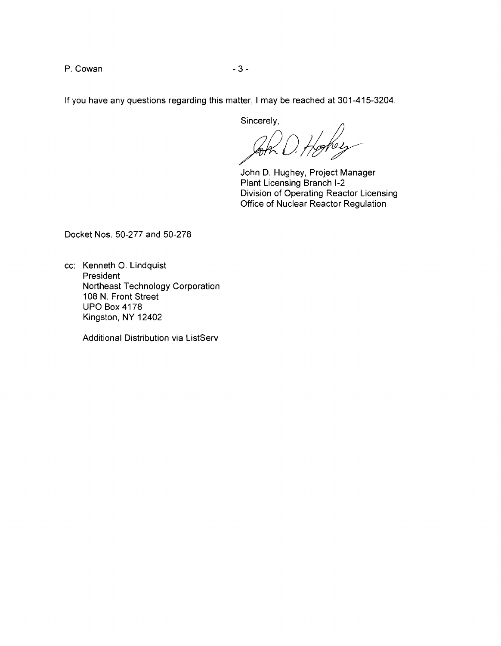P. Cowan 2012 2022 2022 2023 2024

If you have any questions regarding this matter, 1may be reached at 301-415-3204.

Sincerely,

John D. Hughey, Project Manager Plant Licensing Branch 1-2 Division of Operating Reactor Licensing Office of Nuclear Reactor Regulation

Docket Nos. 50-277 and 50-278

cc: Kenneth O. Lindquist President Northeast Technology Corporation 108 N. Front Street UPO Box 4178 Kingston, NY 12402

Additional Distribution via ListServ